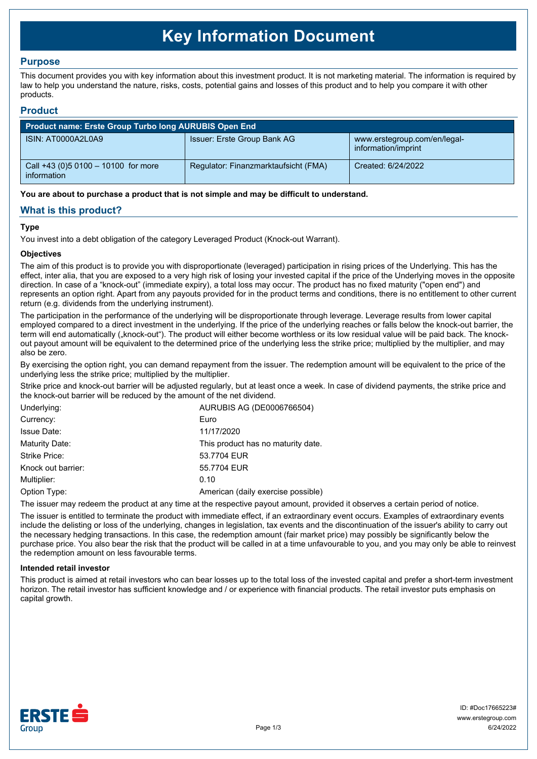# **Key Information Document**

# **Purpose**

This document provides you with key information about this investment product. It is not marketing material. The information is required by law to help you understand the nature, risks, costs, potential gains and losses of this product and to help you compare it with other products.

## **Product**

| Product name: Erste Group Turbo long AURUBIS Open End |                                      |                                                     |  |  |  |
|-------------------------------------------------------|--------------------------------------|-----------------------------------------------------|--|--|--|
| ISIN: AT0000A2L0A9                                    | Issuer: Erste Group Bank AG          | www.erstegroup.com/en/legal-<br>information/imprint |  |  |  |
| Call +43 (0) 5 0100 - 10100 for more<br>information   | Regulator: Finanzmarktaufsicht (FMA) | Created: 6/24/2022                                  |  |  |  |

**You are about to purchase a product that is not simple and may be difficult to understand.**

# **What is this product?**

## **Type**

You invest into a debt obligation of the category Leveraged Product (Knock-out Warrant).

## **Objectives**

The aim of this product is to provide you with disproportionate (leveraged) participation in rising prices of the Underlying. This has the effect, inter alia, that you are exposed to a very high risk of losing your invested capital if the price of the Underlying moves in the opposite direction. In case of a "knock-out" (immediate expiry), a total loss may occur. The product has no fixed maturity ("open end") and represents an option right. Apart from any payouts provided for in the product terms and conditions, there is no entitlement to other current return (e.g. dividends from the underlying instrument).

The participation in the performance of the underlying will be disproportionate through leverage. Leverage results from lower capital employed compared to a direct investment in the underlying. If the price of the underlying reaches or falls below the knock-out barrier, the term will end automatically ("knock-out"). The product will either become worthless or its low residual value will be paid back. The knockout payout amount will be equivalent to the determined price of the underlying less the strike price; multiplied by the multiplier, and may also be zero.

By exercising the option right, you can demand repayment from the issuer. The redemption amount will be equivalent to the price of the underlying less the strike price; multiplied by the multiplier.

Strike price and knock-out barrier will be adjusted regularly, but at least once a week. In case of dividend payments, the strike price and the knock-out barrier will be reduced by the amount of the net dividend.

| 11/17/2020                         |
|------------------------------------|
| This product has no maturity date. |
| 53.7704 EUR                        |
| 55.7704 EUR                        |
|                                    |
| American (daily exercise possible) |
|                                    |

The issuer may redeem the product at any time at the respective payout amount, provided it observes a certain period of notice.

The issuer is entitled to terminate the product with immediate effect, if an extraordinary event occurs. Examples of extraordinary events include the delisting or loss of the underlying, changes in legislation, tax events and the discontinuation of the issuer's ability to carry out the necessary hedging transactions. In this case, the redemption amount (fair market price) may possibly be significantly below the purchase price. You also bear the risk that the product will be called in at a time unfavourable to you, and you may only be able to reinvest the redemption amount on less favourable terms.

#### **Intended retail investor**

This product is aimed at retail investors who can bear losses up to the total loss of the invested capital and prefer a short-term investment horizon. The retail investor has sufficient knowledge and / or experience with financial products. The retail investor puts emphasis on capital growth.

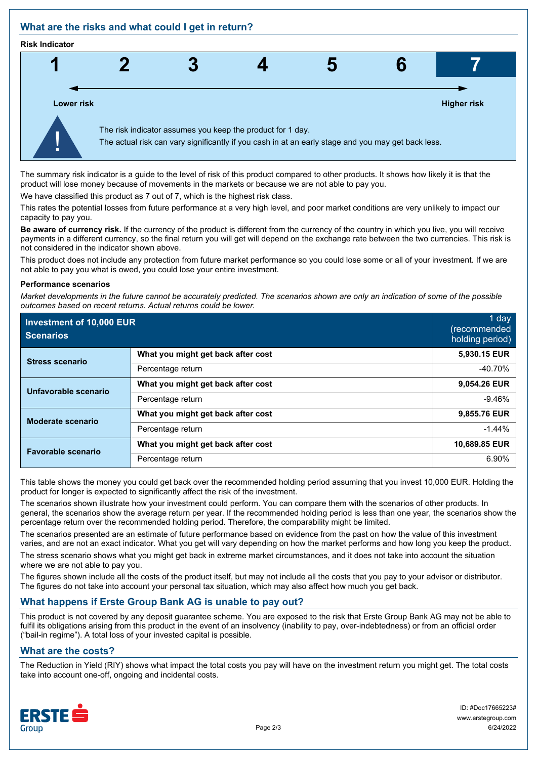# **What are the risks and what could I get in return?**

#### **Risk Indicator**



The summary risk indicator is a guide to the level of risk of this product compared to other products. It shows how likely it is that the product will lose money because of movements in the markets or because we are not able to pay you.

We have classified this product as 7 out of 7, which is the highest risk class.

This rates the potential losses from future performance at a very high level, and poor market conditions are very unlikely to impact our capacity to pay you.

**Be aware of currency risk.** If the currency of the product is different from the currency of the country in which you live, you will receive payments in a different currency, so the final return you will get will depend on the exchange rate between the two currencies. This risk is not considered in the indicator shown above.

This product does not include any protection from future market performance so you could lose some or all of your investment. If we are not able to pay you what is owed, you could lose your entire investment.

#### **Performance scenarios**

*Market developments in the future cannot be accurately predicted. The scenarios shown are only an indication of some of the possible outcomes based on recent returns. Actual returns could be lower.*

| Investment of 10,000 EUR<br><b>Scenarios</b> |                                    | 1 day<br>(recommended<br>holding period) |
|----------------------------------------------|------------------------------------|------------------------------------------|
| <b>Stress scenario</b>                       | What you might get back after cost | 5,930.15 EUR                             |
|                                              | Percentage return                  | $-40.70%$                                |
| Unfavorable scenario                         | What you might get back after cost | 9,054.26 EUR                             |
|                                              | Percentage return                  | $-9.46%$                                 |
| <b>Moderate scenario</b>                     | What you might get back after cost | 9,855.76 EUR                             |
|                                              | Percentage return                  | $-1.44%$                                 |
| <b>Favorable scenario</b>                    | What you might get back after cost | 10,689.85 EUR                            |
|                                              | Percentage return                  | 6.90%                                    |

This table shows the money you could get back over the recommended holding period assuming that you invest 10,000 EUR. Holding the product for longer is expected to significantly affect the risk of the investment.

The scenarios shown illustrate how your investment could perform. You can compare them with the scenarios of other products. In general, the scenarios show the average return per year. If the recommended holding period is less than one year, the scenarios show the percentage return over the recommended holding period. Therefore, the comparability might be limited.

The scenarios presented are an estimate of future performance based on evidence from the past on how the value of this investment varies, and are not an exact indicator. What you get will vary depending on how the market performs and how long you keep the product.

The stress scenario shows what you might get back in extreme market circumstances, and it does not take into account the situation where we are not able to pay you.

The figures shown include all the costs of the product itself, but may not include all the costs that you pay to your advisor or distributor. The figures do not take into account your personal tax situation, which may also affect how much you get back.

# **What happens if Erste Group Bank AG is unable to pay out?**

This product is not covered by any deposit guarantee scheme. You are exposed to the risk that Erste Group Bank AG may not be able to fulfil its obligations arising from this product in the event of an insolvency (inability to pay, over-indebtedness) or from an official order ("bail-in regime"). A total loss of your invested capital is possible.

# **What are the costs?**

The Reduction in Yield (RIY) shows what impact the total costs you pay will have on the investment return you might get. The total costs take into account one-off, ongoing and incidental costs.